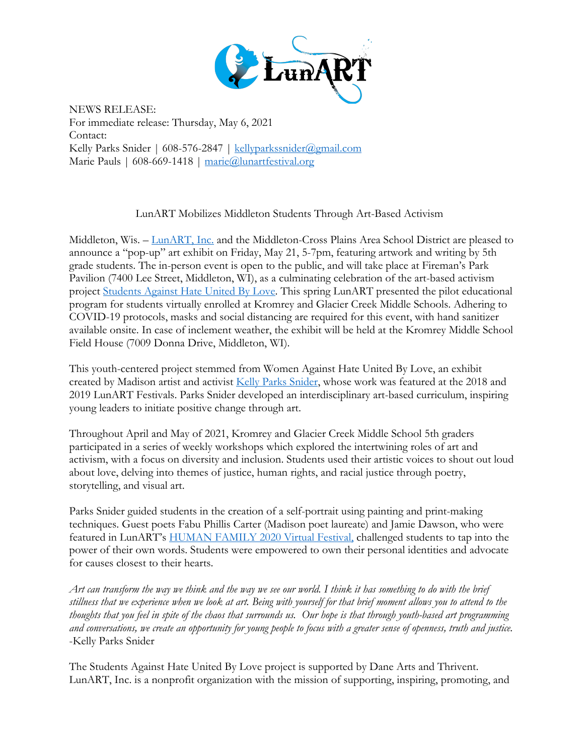

NEWS RELEASE: For immediate release: Thursday, May 6, 2021 Contact: Kelly Parks Snider | 608-576-2847 | kellyparkssnider@gmail.com Marie Pauls | 608-669-1418 | marie@lunartfestival.org

LunART Mobilizes Middleton Students Through Art-Based Activism

Middleton, Wis. – LunART, Inc. and the Middleton-Cross Plains Area School District are pleased to announce a "pop-up" art exhibit on Friday, May 21, 5-7pm, featuring artwork and writing by 5th grade students. The in-person event is open to the public, and will take place at Fireman's Park Pavilion (7400 Lee Street, Middleton, WI), as a culminating celebration of the art-based activism project Students Against Hate United By Love. This spring LunART presented the pilot educational program for students virtually enrolled at Kromrey and Glacier Creek Middle Schools. Adhering to COVID-19 protocols, masks and social distancing are required for this event, with hand sanitizer available onsite. In case of inclement weather, the exhibit will be held at the Kromrey Middle School Field House (7009 Donna Drive, Middleton, WI).

This youth-centered project stemmed from Women Against Hate United By Love, an exhibit created by Madison artist and activist Kelly Parks Snider, whose work was featured at the 2018 and 2019 LunART Festivals. Parks Snider developed an interdisciplinary art-based curriculum, inspiring young leaders to initiate positive change through art.

Throughout April and May of 2021, Kromrey and Glacier Creek Middle School 5th graders participated in a series of weekly workshops which explored the intertwining roles of art and activism, with a focus on diversity and inclusion. Students used their artistic voices to shout out loud about love, delving into themes of justice, human rights, and racial justice through poetry, storytelling, and visual art.

Parks Snider guided students in the creation of a self-portrait using painting and print-making techniques. Guest poets Fabu Phillis Carter (Madison poet laureate) and Jamie Dawson, who were featured in LunART's HUMAN FAMILY 2020 Virtual Festival, challenged students to tap into the power of their own words. Students were empowered to own their personal identities and advocate for causes closest to their hearts.

*Art can transform the way we think and the way we see our world. I think it has something to do with the brief stillness that we experience when we look at art. Being with yourself for that brief moment allows you to attend to the thoughts that you feel in spite of the chaos that surrounds us. Our hope is that through youth-based art programming and conversations, we create an opportunity for young people to focus with a greater sense of openness, truth and justice.* -Kelly Parks Snider

The Students Against Hate United By Love project is supported by Dane Arts and Thrivent. LunART, Inc. is a nonprofit organization with the mission of supporting, inspiring, promoting, and